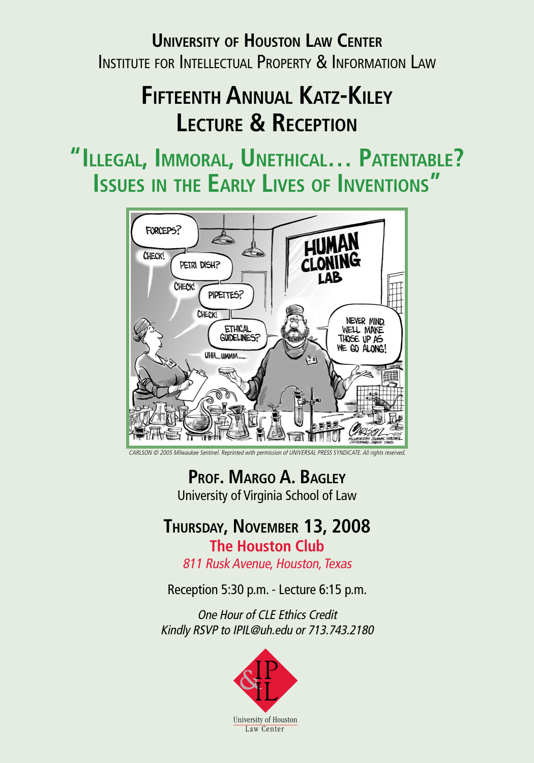## **University of Houston Law Center** Institute for Intellectual Property & Information Law

## **Fifteenth Annual Katz-Kiley Lecture & Reception**

**"Illegal, Immoral, Unethical… Patentable? Issues in the Early Lives of Inventions "**



CARLSON © 2005 Milwaukee Sentinel. Reprinted with permission of UNIVERSAL PRESS SYNDICATE. All rights reserved.

**Prof. Margo A. Bagley** University of Virginia School of Law

#### **Thursday, November 13, 2008 The Houston Club**

811 Rusk Avenue, Houston, Texas

Reception 5:30 p.m. - Lecture 6:15 p.m.

One Hour of CLE Ethics Credit Kindly RSVP to IPIL@uh.edu or 713.743.2180

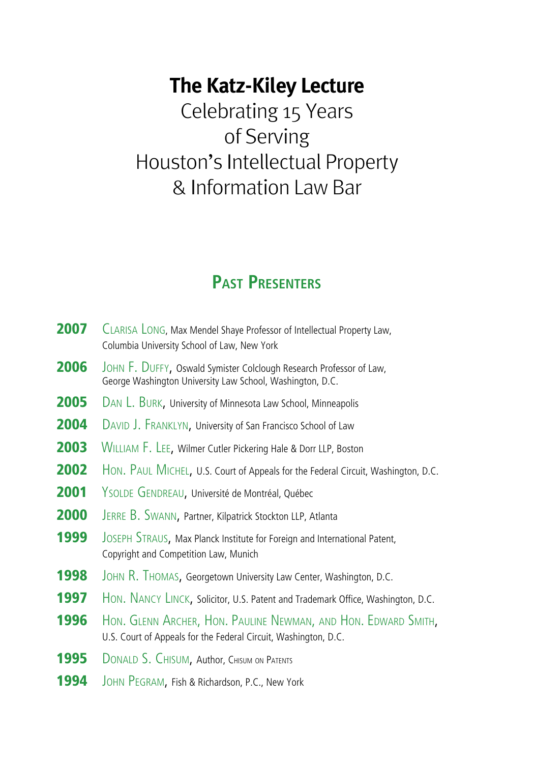## **The Katz-Kiley Lecture**

Celebrating 15 Years of Serving Houston's Intellectual Property & Information Law Bar

### **Past Presenters**

| 2007 | CLARISA LONG, Max Mendel Shaye Professor of Intellectual Property Law,<br>Columbia University School of Law, New York             |
|------|-----------------------------------------------------------------------------------------------------------------------------------|
| 2006 | JOHN F. DUFFY, Oswald Symister Colclough Research Professor of Law,<br>George Washington University Law School, Washington, D.C.  |
| 2005 | DAN L. BURK, University of Minnesota Law School, Minneapolis                                                                      |
| 2004 | DAVID J. FRANKLYN, University of San Francisco School of Law                                                                      |
| 2003 | WILLIAM F. LEE, Wilmer Cutler Pickering Hale & Dorr LLP, Boston                                                                   |
| 2002 | HON. PAUL MICHEL, U.S. Court of Appeals for the Federal Circuit, Washington, D.C.                                                 |
| 2001 | YSOLDE GENDREAU, Université de Montréal, Québec                                                                                   |
| 2000 | JERRE B. SWANN, Partner, Kilpatrick Stockton LLP, Atlanta                                                                         |
| 1999 | JOSEPH STRAUS, Max Planck Institute for Foreign and International Patent,<br>Copyright and Competition Law, Munich                |
| 1998 | JOHN R. THOMAS, Georgetown University Law Center, Washington, D.C.                                                                |
| 1997 | HON. NANCY LINCK, Solicitor, U.S. Patent and Trademark Office, Washington, D.C.                                                   |
| 1996 | HON. GLENN ARCHER, HON. PAULINE NEWMAN, AND HON. EDWARD SMITH,<br>U.S. Court of Appeals for the Federal Circuit, Washington, D.C. |
| 1995 | DONALD S. CHISUM, Author, CHISUM ON PATENTS                                                                                       |
| 1994 | JOHN PEGRAM, Fish & Richardson, P.C., New York                                                                                    |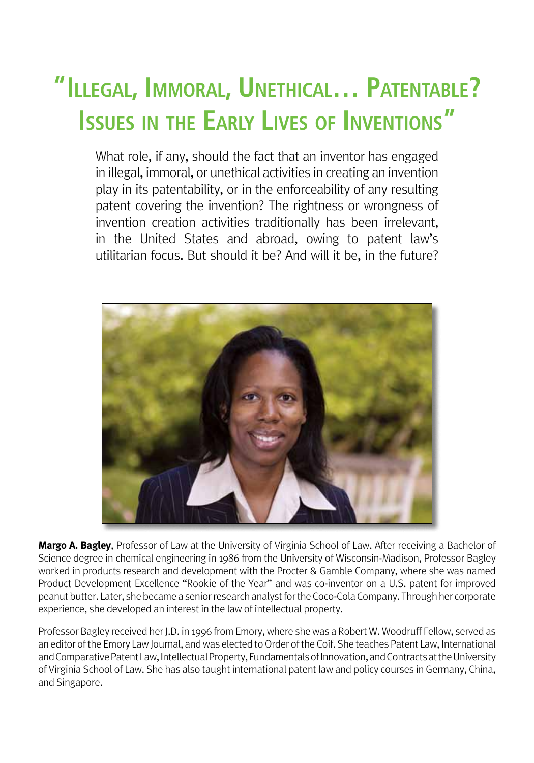# **"Illegal, Immoral, Unethical… Patentable? Issues in the Early Lives of Inventions "**

What role, if any, should the fact that an inventor has engaged in illegal, immoral, or unethical activities in creating an invention play in its patentability, or in the enforceability of any resulting patent covering the invention? The rightness or wrongness of invention creation activities traditionally has been irrelevant, in the United States and abroad, owing to patent law's utilitarian focus. But should it be? And will it be, in the future?



**Margo A. Bagley**, Professor of Law at the University of Virginia School of Law. After receiving a Bachelor of Science degree in chemical engineering in 1986 from the University of Wisconsin-Madison, Professor Bagley worked in products research and development with the Procter & Gamble Company, where she was named Product Development Excellence "Rookie of the Year" and was co-inventor on a U.S. patent for improved peanut butter. Later, she became a senior research analyst for the Coco-Cola Company. Through her corporate experience, she developed an interest in the law of intellectual property.

Professor Bagley received her J.D. in 1996 from Emory, where she was a Robert W. Woodruff Fellow, served as an editor of the Emory Law Journal, and was elected to Order of the Coif. She teaches Patent Law, International and Comparative Patent Law, Intellectual Property, Fundamentals of Innovation, and Contracts at the University of Virginia School of Law. She has also taught international patent law and policy courses in Germany, China, and Singapore.